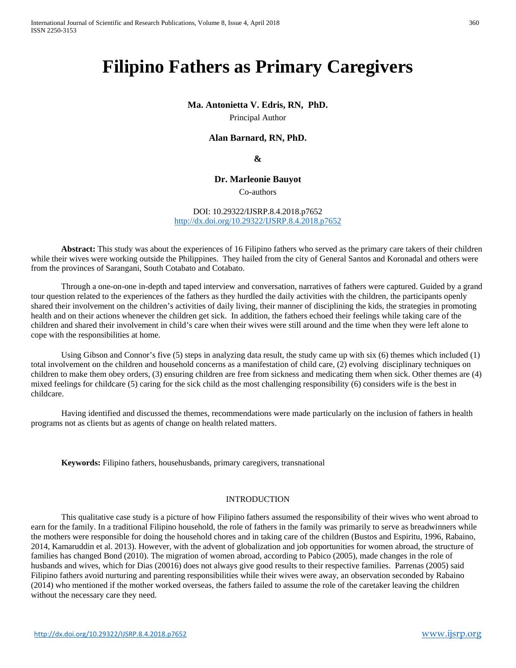# **Filipino Fathers as Primary Caregivers**

### **Ma. Antonietta V. Edris, RN, PhD.**

Principal Author

# **Alan Barnard, RN, PhD.**

# **&**

# **Dr. Marleonie Bauyot**

Co-authors

### DOI: 10.29322/IJSRP.8.4.2018.p7652 <http://dx.doi.org/10.29322/IJSRP.8.4.2018.p7652>

**Abstract:** This study was about the experiences of 16 Filipino fathers who served as the primary care takers of their children while their wives were working outside the Philippines. They hailed from the city of General Santos and Koronadal and others were from the provinces of Sarangani, South Cotabato and Cotabato.

Through a one-on-one in-depth and taped interview and conversation, narratives of fathers were captured. Guided by a grand tour question related to the experiences of the fathers as they hurdled the daily activities with the children, the participants openly shared their involvement on the children's activities of daily living, their manner of disciplining the kids, the strategies in promoting health and on their actions whenever the children get sick. In addition, the fathers echoed their feelings while taking care of the children and shared their involvement in child's care when their wives were still around and the time when they were left alone to cope with the responsibilities at home.

Using Gibson and Connor's five (5) steps in analyzing data result, the study came up with six (6) themes which included (1) total involvement on the children and household concerns as a manifestation of child care, (2) evolving disciplinary techniques on children to make them obey orders, (3) ensuring children are free from sickness and medicating them when sick. Other themes are (4) mixed feelings for childcare (5) caring for the sick child as the most challenging responsibility (6) considers wife is the best in childcare.

Having identified and discussed the themes, recommendations were made particularly on the inclusion of fathers in health programs not as clients but as agents of change on health related matters.

**Keywords:** Filipino fathers, househusbands, primary caregivers, transnational

### INTRODUCTION

This qualitative case study is a picture of how Filipino fathers assumed the responsibility of their wives who went abroad to earn for the family. In a traditional Filipino household, the role of fathers in the family was primarily to serve as breadwinners while the mothers were responsible for doing the household chores and in taking care of the children (Bustos and Espiritu, 1996, Rabaino, 2014, Kamaruddin et al. 2013). However, with the advent of globalization and job opportunities for women abroad, the structure of families has changed Bond (2010). The migration of women abroad, according to Pabico (2005), made changes in the role of husbands and wives, which for Dias (20016) does not always give good results to their respective families. Parrenas (2005) said Filipino fathers avoid nurturing and parenting responsibilities while their wives were away, an observation seconded by Rabaino (2014) who mentioned if the mother worked overseas, the fathers failed to assume the role of the caretaker leaving the children without the necessary care they need.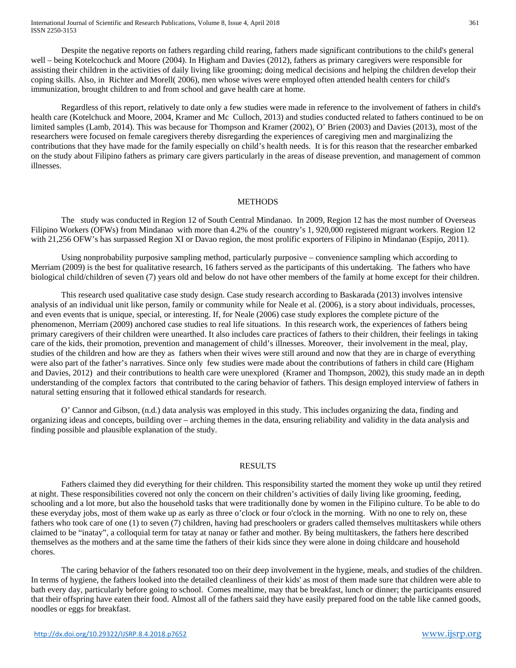Despite the negative reports on fathers regarding child rearing, fathers made significant contributions to the child's general well – being Kotelcochuck and Moore (2004). In Higham and Davies (2012), fathers as primary caregivers were responsible for assisting their children in the activities of daily living like grooming; doing medical decisions and helping the children develop their coping skills. Also, in Richter and Morell( 2006), men whose wives were employed often attended health centers for child's immunization, brought children to and from school and gave health care at home.

Regardless of this report, relatively to date only a few studies were made in reference to the involvement of fathers in child's health care (Kotelchuck and Moore, 2004, Kramer and Mc Culloch, 2013) and studies conducted related to fathers continued to be on limited samples (Lamb, 2014). This was because for Thompson and Kramer (2002), O' Brien (2003) and Davies (2013), most of the researchers were focused on female caregivers thereby disregarding the experiences of caregiving men and marginalizing the contributions that they have made for the family especially on child's health needs. It is for this reason that the researcher embarked on the study about Filipino fathers as primary care givers particularly in the areas of disease prevention, and management of common illnesses.

### METHODS

The study was conducted in Region 12 of South Central Mindanao. In 2009, Region 12 has the most number of Overseas Filipino Workers (OFWs) from Mindanao with more than 4.2% of the country's 1, 920,000 registered migrant workers. Region 12 with 21,256 OFW's has surpassed Region XI or Davao region, the most prolific exporters of Filipino in Mindanao (Espijo, 2011).

Using nonprobability purposive sampling method, particularly purposive – convenience sampling which according to Merriam (2009) is the best for qualitative research, 16 fathers served as the participants of this undertaking. The fathers who have biological child/children of seven (7) years old and below do not have other members of the family at home except for their children.

This research used qualitative case study design. Case study research according to Baskarada (2013) involves intensive analysis of an individual unit like person, family or community while for Neale et al. (2006), is a story about individuals, processes, and even events that is unique, special, or interesting. If, for Neale (2006) case study explores the complete picture of the phenomenon, Merriam (2009) anchored case studies to real life situations. In this research work, the experiences of fathers being primary caregivers of their children were unearthed. It also includes care practices of fathers to their children, their feelings in taking care of the kids, their promotion, prevention and management of child's illnesses. Moreover, their involvement in the meal, play, studies of the children and how are they as fathers when their wives were still around and now that they are in charge of everything were also part of the father's narratives. Since only few studies were made about the contributions of fathers in child care (Higham and Davies, 2012) and their contributions to health care were unexplored (Kramer and Thompson, 2002), this study made an in depth understanding of the complex factors that contributed to the caring behavior of fathers. This design employed interview of fathers in natural setting ensuring that it followed ethical standards for research.

O' Cannor and Gibson, (n.d.) data analysis was employed in this study. This includes organizing the data, finding and organizing ideas and concepts, building over – arching themes in the data, ensuring reliability and validity in the data analysis and finding possible and plausible explanation of the study.

#### RESULTS

Fathers claimed they did everything for their children. This responsibility started the moment they woke up until they retired at night. These responsibilities covered not only the concern on their children's activities of daily living like grooming, feeding, schooling and a lot more, but also the household tasks that were traditionally done by women in the Filipino culture. To be able to do these everyday jobs, most of them wake up as early as three o'clock or four o'clock in the morning. With no one to rely on, these fathers who took care of one (1) to seven (7) children, having had preschoolers or graders called themselves multitaskers while others claimed to be "inatay", a colloquial term for tatay at nanay or father and mother. By being multitaskers, the fathers here described themselves as the mothers and at the same time the fathers of their kids since they were alone in doing childcare and household chores.

The caring behavior of the fathers resonated too on their deep involvement in the hygiene, meals, and studies of the children. In terms of hygiene, the fathers looked into the detailed cleanliness of their kids' as most of them made sure that children were able to bath every day, particularly before going to school. Comes mealtime, may that be breakfast, lunch or dinner; the participants ensured that their offspring have eaten their food. Almost all of the fathers said they have easily prepared food on the table like canned goods, noodles or eggs for breakfast.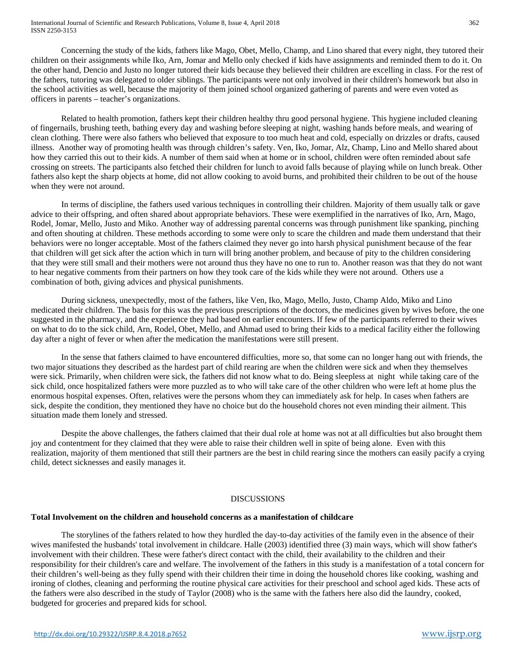Concerning the study of the kids, fathers like Mago, Obet, Mello, Champ, and Lino shared that every night, they tutored their children on their assignments while Iko, Arn, Jomar and Mello only checked if kids have assignments and reminded them to do it. On the other hand, Dencio and Justo no longer tutored their kids because they believed their children are excelling in class. For the rest of the fathers, tutoring was delegated to older siblings. The participants were not only involved in their children's homework but also in the school activities as well, because the majority of them joined school organized gathering of parents and were even voted as officers in parents – teacher's organizations.

Related to health promotion, fathers kept their children healthy thru good personal hygiene. This hygiene included cleaning of fingernails, brushing teeth, bathing every day and washing before sleeping at night, washing hands before meals, and wearing of clean clothing. There were also fathers who believed that exposure to too much heat and cold, especially on drizzles or drafts, caused illness. Another way of promoting health was through children's safety. Ven, Iko, Jomar, Alz, Champ, Lino and Mello shared about how they carried this out to their kids. A number of them said when at home or in school, children were often reminded about safe crossing on streets. The participants also fetched their children for lunch to avoid falls because of playing while on lunch break. Other fathers also kept the sharp objects at home, did not allow cooking to avoid burns, and prohibited their children to be out of the house when they were not around.

In terms of discipline, the fathers used various techniques in controlling their children. Majority of them usually talk or gave advice to their offspring, and often shared about appropriate behaviors. These were exemplified in the narratives of Iko, Arn, Mago, Rodel, Jomar, Mello, Justo and Miko. Another way of addressing parental concerns was through punishment like spanking, pinching and often shouting at children. These methods according to some were only to scare the children and made them understand that their behaviors were no longer acceptable. Most of the fathers claimed they never go into harsh physical punishment because of the fear that children will get sick after the action which in turn will bring another problem, and because of pity to the children considering that they were still small and their mothers were not around thus they have no one to run to. Another reason was that they do not want to hear negative comments from their partners on how they took care of the kids while they were not around. Others use a combination of both, giving advices and physical punishments.

During sickness, unexpectedly, most of the fathers, like Ven, Iko, Mago, Mello, Justo, Champ Aldo, Miko and Lino medicated their children. The basis for this was the previous prescriptions of the doctors, the medicines given by wives before, the one suggested in the pharmacy, and the experience they had based on earlier encounters. If few of the participants referred to their wives on what to do to the sick child, Arn, Rodel, Obet, Mello, and Ahmad used to bring their kids to a medical facility either the following day after a night of fever or when after the medication the manifestations were still present.

In the sense that fathers claimed to have encountered difficulties, more so, that some can no longer hang out with friends, the two major situations they described as the hardest part of child rearing are when the children were sick and when they themselves were sick. Primarily, when children were sick, the fathers did not know what to do. Being sleepless at night while taking care of the sick child, once hospitalized fathers were more puzzled as to who will take care of the other children who were left at home plus the enormous hospital expenses. Often, relatives were the persons whom they can immediately ask for help. In cases when fathers are sick, despite the condition, they mentioned they have no choice but do the household chores not even minding their ailment. This situation made them lonely and stressed.

Despite the above challenges, the fathers claimed that their dual role at home was not at all difficulties but also brought them joy and contentment for they claimed that they were able to raise their children well in spite of being alone. Even with this realization, majority of them mentioned that still their partners are the best in child rearing since the mothers can easily pacify a crying child, detect sicknesses and easily manages it.

# DISCUSSIONS

# **Total Involvement on the children and household concerns as a manifestation of childcare**

The storylines of the fathers related to how they hurdled the day-to-day activities of the family even in the absence of their wives manifested the husbands' total involvement in childcare. Halle (2003) identified three (3) main ways, which will show father's involvement with their children. These were father's direct contact with the child, their availability to the children and their responsibility for their children's care and welfare. The involvement of the fathers in this study is a manifestation of a total concern for their children's well-being as they fully spend with their children their time in doing the household chores like cooking, washing and ironing of clothes, cleaning and performing the routine physical care activities for their preschool and school aged kids. These acts of the fathers were also described in the study of Taylor (2008) who is the same with the fathers here also did the laundry, cooked, budgeted for groceries and prepared kids for school.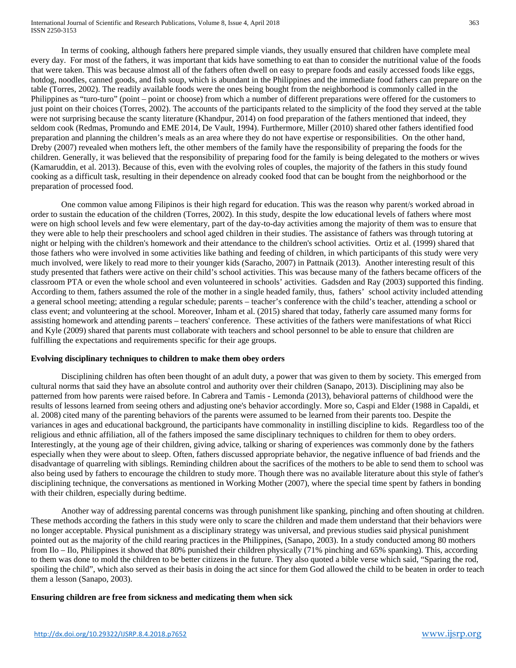International Journal of Scientific and Research Publications, Volume 8, Issue 4, April 2018 363 ISSN 2250-3153

In terms of cooking, although fathers here prepared simple viands, they usually ensured that children have complete meal every day. For most of the fathers, it was important that kids have something to eat than to consider the nutritional value of the foods that were taken. This was because almost all of the fathers often dwell on easy to prepare foods and easily accessed foods like eggs, hotdog, noodles, canned goods, and fish soup, which is abundant in the Philippines and the immediate food fathers can prepare on the table (Torres, 2002). The readily available foods were the ones being bought from the neighborhood is commonly called in the Philippines as "turo-turo" (point – point or choose) from which a number of different preparations were offered for the customers to just point on their choices (Torres, 2002). The accounts of the participants related to the simplicity of the food they served at the table were not surprising because the scanty literature (Khandpur, 2014) on food preparation of the fathers mentioned that indeed, they seldom cook (Redmas, Promundo and EME 2014, De Vault, 1994). Furthermore, Miller (2010) shared other fathers identified food preparation and planning the children's meals as an area where they do not have expertise or responsibilities. On the other hand, Dreby (2007) revealed when mothers left, the other members of the family have the responsibility of preparing the foods for the children. Generally, it was believed that the responsibility of preparing food for the family is being delegated to the mothers or wives (Kamaruddin, et al. 2013). Because of this, even with the evolving roles of couples, the majority of the fathers in this study found cooking as a difficult task, resulting in their dependence on already cooked food that can be bought from the neighborhood or the preparation of processed food.

One common value among Filipinos is their high regard for education. This was the reason why parent/s worked abroad in order to sustain the education of the children (Torres, 2002). In this study, despite the low educational levels of fathers where most were on high school levels and few were elementary, part of the day-to-day activities among the majority of them was to ensure that they were able to help their preschoolers and school aged children in their studies. The assistance of fathers was through tutoring at night or helping with the children's homework and their attendance to the children's school activities. Ortiz et al. (1999) shared that those fathers who were involved in some activities like bathing and feeding of children, in which participants of this study were very much involved, were likely to read more to their younger kids (Saracho, 2007) in Pattnaik (2013). Another interesting result of this study presented that fathers were active on their child's school activities. This was because many of the fathers became officers of the classroom PTA or even the whole school and even volunteered in schools' activities. Gadsden and Ray (2003) supported this finding. According to them, fathers assumed the role of the mother in a single headed family, thus, fathers' school activity included attending a general school meeting; attending a regular schedule; parents – teacher's conference with the child's teacher, attending a school or class event; and volunteering at the school. Moreover, Inham et al. (2015) shared that today, fatherly care assumed many forms for assisting homework and attending parents – teachers' conference. These activities of the fathers were manifestations of what Ricci and Kyle (2009) shared that parents must collaborate with teachers and school personnel to be able to ensure that children are fulfilling the expectations and requirements specific for their age groups.

# **Evolving disciplinary techniques to children to make them obey orders**

Disciplining children has often been thought of an adult duty, a power that was given to them by society. This emerged from cultural norms that said they have an absolute control and authority over their children (Sanapo, 2013). Disciplining may also be patterned from how parents were raised before. In Cabrera and Tamis - Lemonda (2013), behavioral patterns of childhood were the results of lessons learned from seeing others and adjusting one's behavior accordingly. More so, Caspi and Elder (1988 in Capaldi, et al. 2008) cited many of the parenting behaviors of the parents were assumed to be learned from their parents too. Despite the variances in ages and educational background, the participants have commonality in instilling discipline to kids. Regardless too of the religious and ethnic affiliation, all of the fathers imposed the same disciplinary techniques to children for them to obey orders. Interestingly, at the young age of their children, giving advice, talking or sharing of experiences was commonly done by the fathers especially when they were about to sleep. Often, fathers discussed appropriate behavior, the negative influence of bad friends and the disadvantage of quarreling with siblings. Reminding children about the sacrifices of the mothers to be able to send them to school was also being used by fathers to encourage the children to study more. Though there was no available literature about this style of father's disciplining technique, the conversations as mentioned in Working Mother (2007), where the special time spent by fathers in bonding with their children, especially during bedtime.

Another way of addressing parental concerns was through punishment like spanking, pinching and often shouting at children. These methods according the fathers in this study were only to scare the children and made them understand that their behaviors were no longer acceptable. Physical punishment as a disciplinary strategy was universal, and previous studies said physical punishment pointed out as the majority of the child rearing practices in the Philippines, (Sanapo, 2003). In a study conducted among 80 mothers from Ilo – Ilo, Philippines it showed that 80% punished their children physically (71% pinching and 65% spanking). This, according to them was done to mold the children to be better citizens in the future. They also quoted a bible verse which said, "Sparing the rod, spoiling the child", which also served as their basis in doing the act since for them God allowed the child to be beaten in order to teach them a lesson (Sanapo, 2003).

# **Ensuring children are free from sickness and medicating them when sick**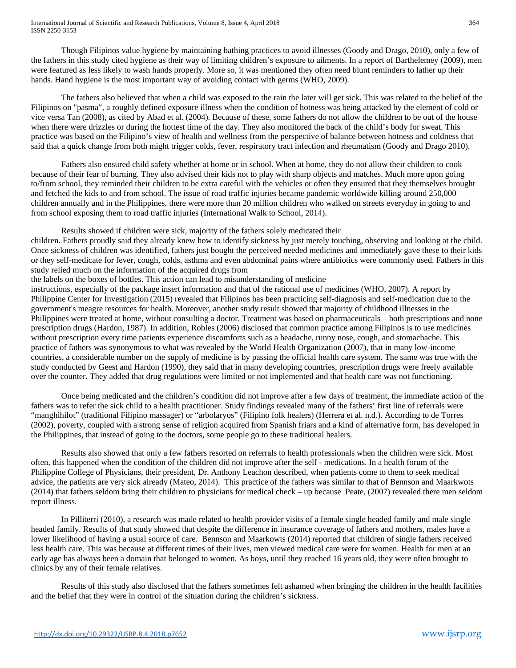Though Filipinos value hygiene by maintaining bathing practices to avoid illnesses (Goody and Drago, 2010), only a few of the fathers in this study cited hygiene as their way of limiting children's exposure to ailments. In a report of Barthelemey (2009), men were featured as less likely to wash hands properly. More so, it was mentioned they often need blunt reminders to lather up their hands. Hand hygiene is the most important way of avoiding contact with germs (WHO, 2009).

The fathers also believed that when a child was exposed to the rain the later will get sick. This was related to the belief of the Filipinos on "pasma", a roughly defined exposure illness when the condition of hotness was being attacked by the element of cold or vice versa Tan (2008), as cited by Abad et al. (2004). Because of these, some fathers do not allow the children to be out of the house when there were drizzles or during the hottest time of the day. They also monitored the back of the child's body for sweat. This practice was based on the Filipino's view of health and wellness from the perspective of balance between hotness and coldness that said that a quick change from both might trigger colds, fever, respiratory tract infection and rheumatism (Goody and Drago 2010).

Fathers also ensured child safety whether at home or in school. When at home, they do not allow their children to cook because of their fear of burning. They also advised their kids not to play with sharp objects and matches. Much more upon going to/from school, they reminded their children to be extra careful with the vehicles or often they ensured that they themselves brought and fetched the kids to and from school. The issue of road traffic injuries became pandemic worldwide killing around 250,000 children annually and in the Philippines, there were more than 20 million children who walked on streets everyday in going to and from school exposing them to road traffic injuries (International Walk to School, 2014).

Results showed if children were sick, majority of the fathers solely medicated their

children. Fathers proudly said they already knew how to identify sickness by just merely touching, observing and looking at the child. Once sickness of children was identified, fathers just bought the perceived needed medicines and immediately gave these to their kids or they self-medicate for fever, cough, colds, asthma and even abdominal pains where antibiotics were commonly used. Fathers in this study relied much on the information of the acquired drugs from

the labels on the boxes of bottles. This action can lead to misunderstanding of medicine

instructions, especially of the package insert information and that of the rational use of medicines (WHO, 2007). A report by Philippine Center for Investigation (2015) revealed that Filipinos has been practicing self-diagnosis and self-medication due to the government's meagre resources for health. Moreover, another study result showed that majority of childhood illnesses in the Philippines were treated at home, without consulting a doctor. Treatment was based on pharmaceuticals – both prescriptions and none prescription drugs (Hardon, 1987). In addition, Robles (2006) disclosed that common practice among Filipinos is to use medicines without prescription every time patients experience discomforts such as a headache, runny nose, cough, and stomachache. This practice of fathers was synonymous to what was revealed by the World Health Organization (2007), that in many low-income countries, a considerable number on the supply of medicine is by passing the official health care system. The same was true with the study conducted by Geest and Hardon (1990), they said that in many developing countries, prescription drugs were freely available over the counter. They added that drug regulations were limited or not implemented and that health care was not functioning.

Once being medicated and the children's condition did not improve after a few days of treatment, the immediate action of the fathers was to refer the sick child to a health practitioner. Study findings revealed many of the fathers' first line of referrals were "manghihilot" (traditional Filipino massager) or "arbolaryos" (Filipino folk healers) (Herrera et al. n.d.). According to de Torres (2002), poverty, coupled with a strong sense of religion acquired from Spanish friars and a kind of alternative form, has developed in the Philippines, that instead of going to the doctors, some people go to these traditional healers.

Results also showed that only a few fathers resorted on referrals to health professionals when the children were sick. Most often, this happened when the condition of the children did not improve after the self - medications. In a health forum of the Philippine College of Physicians, their president, Dr. Anthony Leachon described, when patients come to them to seek medical advice, the patients are very sick already (Mateo, 2014). This practice of the fathers was similar to that of Bennson and Maarkwots (2014) that fathers seldom bring their children to physicians for medical check – up because Peate, (2007) revealed there men seldom report illness.

In Pilliterri (2010), a research was made related to health provider visits of a female single headed family and male single headed family. Results of that study showed that despite the difference in insurance coverage of fathers and mothers, males have a lower likelihood of having a usual source of care. Bennson and Maarkowts (2014) reported that children of single fathers received less health care. This was because at different times of their lives, men viewed medical care were for women. Health for men at an early age has always been a domain that belonged to women. As boys, until they reached 16 years old, they were often brought to clinics by any of their female relatives.

Results of this study also disclosed that the fathers sometimes felt ashamed when bringing the children in the health facilities and the belief that they were in control of the situation during the children's sickness.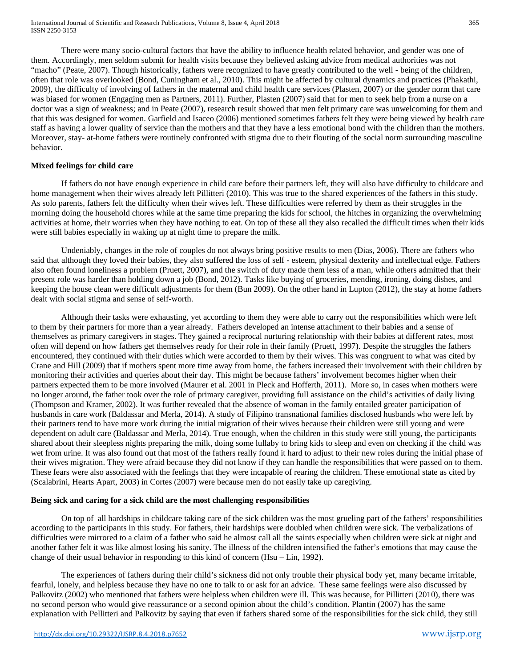There were many socio-cultural factors that have the ability to influence health related behavior, and gender was one of them. Accordingly, men seldom submit for health visits because they believed asking advice from medical authorities was not "macho" (Peate, 2007). Though historically, fathers were recognized to have greatly contributed to the well - being of the children, often that role was overlooked (Bond, Cuningham et al., 2010). This might be affected by cultural dynamics and practices (Phakathi, 2009), the difficulty of involving of fathers in the maternal and child health care services (Plasten, 2007) or the gender norm that care was biased for women (Engaging men as Partners, 2011). Further, Plasten (2007) said that for men to seek help from a nurse on a doctor was a sign of weakness; and in Peate (2007), research result showed that men felt primary care was unwelcoming for them and that this was designed for women. Garfield and Isaceo (2006) mentioned sometimes fathers felt they were being viewed by health care staff as having a lower quality of service than the mothers and that they have a less emotional bond with the children than the mothers. Moreover, stay- at-home fathers were routinely confronted with stigma due to their flouting of the social norm surrounding masculine behavior.

# **Mixed feelings for child care**

If fathers do not have enough experience in child care before their partners left, they will also have difficulty to childcare and home management when their wives already left Pillitteri (2010). This was true to the shared experiences of the fathers in this study. As solo parents, fathers felt the difficulty when their wives left. These difficulties were referred by them as their struggles in the morning doing the household chores while at the same time preparing the kids for school, the hitches in organizing the overwhelming activities at home, their worries when they have nothing to eat. On top of these all they also recalled the difficult times when their kids were still babies especially in waking up at night time to prepare the milk.

Undeniably, changes in the role of couples do not always bring positive results to men (Dias, 2006). There are fathers who said that although they loved their babies, they also suffered the loss of self - esteem, physical dexterity and intellectual edge. Fathers also often found loneliness a problem (Pruett, 2007), and the switch of duty made them less of a man, while others admitted that their present role was harder than holding down a job (Bond, 2012). Tasks like buying of groceries, mending, ironing, doing dishes, and keeping the house clean were difficult adjustments for them (Bun 2009). On the other hand in Lupton (2012), the stay at home fathers dealt with social stigma and sense of self-worth.

Although their tasks were exhausting, yet according to them they were able to carry out the responsibilities which were left to them by their partners for more than a year already. Fathers developed an intense attachment to their babies and a sense of themselves as primary caregivers in stages. They gained a reciprocal nurturing relationship with their babies at different rates, most often will depend on how fathers get themselves ready for their role in their family (Pruett, 1997). Despite the struggles the fathers encountered, they continued with their duties which were accorded to them by their wives. This was congruent to what was cited by Crane and Hill (2009) that if mothers spent more time away from home, the fathers increased their involvement with their children by monitoring their activities and queries about their day. This might be because fathers' involvement becomes higher when their partners expected them to be more involved (Maurer et al. 2001 in Pleck and Hofferth, 2011). More so, in cases when mothers were no longer around, the father took over the role of primary caregiver, providing full assistance on the child's activities of daily living (Thompson and Kramer, 2002). It was further revealed that the absence of woman in the family entailed greater participation of husbands in care work (Baldassar and Merla, 2014). A study of Filipino transnational families disclosed husbands who were left by their partners tend to have more work during the initial migration of their wives because their children were still young and were dependent on adult care (Baldassar and Merla, 2014). True enough, when the children in this study were still young, the participants shared about their sleepless nights preparing the milk, doing some lullaby to bring kids to sleep and even on checking if the child was wet from urine. It was also found out that most of the fathers really found it hard to adjust to their new roles during the initial phase of their wives migration. They were afraid because they did not know if they can handle the responsibilities that were passed on to them. These fears were also associated with the feelings that they were incapable of rearing the children. These emotional state as cited by (Scalabrini, Hearts Apart, 2003) in Cortes (2007) were because men do not easily take up caregiving.

# **Being sick and caring for a sick child are the most challenging responsibilities**

On top of all hardships in childcare taking care of the sick children was the most grueling part of the fathers' responsibilities according to the participants in this study. For fathers, their hardships were doubled when children were sick. The verbalizations of difficulties were mirrored to a claim of a father who said he almost call all the saints especially when children were sick at night and another father felt it was like almost losing his sanity. The illness of the children intensified the father's emotions that may cause the change of their usual behavior in responding to this kind of concern (Hsu – Lin, 1992).

The experiences of fathers during their child's sickness did not only trouble their physical body yet, many became irritable, fearful, lonely, and helpless because they have no one to talk to or ask for an advice. These same feelings were also discussed by Palkovitz (2002) who mentioned that fathers were helpless when children were ill. This was because, for Pillitteri (2010), there was no second person who would give reassurance or a second opinion about the child's condition. Plantin (2007) has the same explanation with Pellitteri and Palkovitz by saying that even if fathers shared some of the responsibilities for the sick child, they still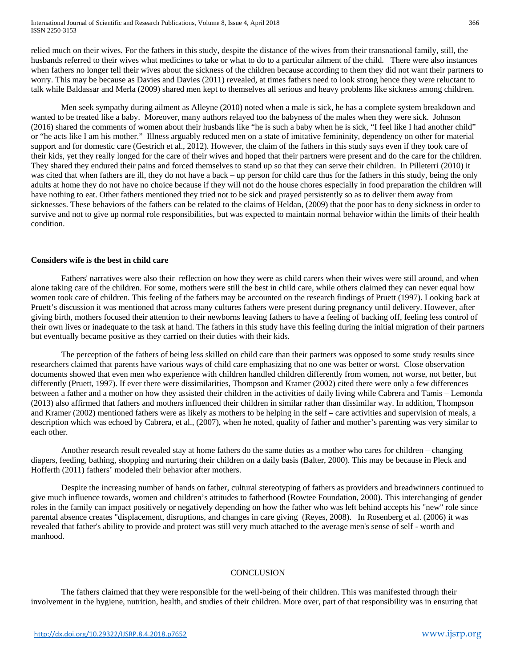relied much on their wives. For the fathers in this study, despite the distance of the wives from their transnational family, still, the husbands referred to their wives what medicines to take or what to do to a particular ailment of the child. There were also instances when fathers no longer tell their wives about the sickness of the children because according to them they did not want their partners to worry. This may be because as Davies and Davies (2011) revealed, at times fathers need to look strong hence they were reluctant to talk while Baldassar and Merla (2009) shared men kept to themselves all serious and heavy problems like sickness among children.

Men seek sympathy during ailment as Alleyne (2010) noted when a male is sick, he has a complete system breakdown and wanted to be treated like a baby. Moreover, many authors relayed too the babyness of the males when they were sick. Johnson (2016) shared the comments of women about their husbands like "he is such a baby when he is sick, "I feel like I had another child" or "he acts like I am his mother." Illness arguably reduced men on a state of imitative femininity, dependency on other for material support and for domestic care (Gestrich et al., 2012). However, the claim of the fathers in this study says even if they took care of their kids, yet they really longed for the care of their wives and hoped that their partners were present and do the care for the children. They shared they endured their pains and forced themselves to stand up so that they can serve their children. In Pilleterri (2010) it was cited that when fathers are ill, they do not have a back – up person for child care thus for the fathers in this study, being the only adults at home they do not have no choice because if they will not do the house chores especially in food preparation the children will have nothing to eat. Other fathers mentioned they tried not to be sick and prayed persistently so as to deliver them away from sicknesses. These behaviors of the fathers can be related to the claims of Heldan, (2009) that the poor has to deny sickness in order to survive and not to give up normal role responsibilities, but was expected to maintain normal behavior within the limits of their health condition.

### **Considers wife is the best in child care**

Fathers' narratives were also their reflection on how they were as child carers when their wives were still around, and when alone taking care of the children. For some, mothers were still the best in child care, while others claimed they can never equal how women took care of children. This feeling of the fathers may be accounted on the research findings of Pruett (1997). Looking back at Pruett's discussion it was mentioned that across many cultures fathers were present during pregnancy until delivery. However, after giving birth, mothers focused their attention to their newborns leaving fathers to have a feeling of backing off, feeling less control of their own lives or inadequate to the task at hand. The fathers in this study have this feeling during the initial migration of their partners but eventually became positive as they carried on their duties with their kids.

The perception of the fathers of being less skilled on child care than their partners was opposed to some study results since researchers claimed that parents have various ways of child care emphasizing that no one was better or worst. Close observation documents showed that even men who experience with children handled children differently from women, not worse, not better, but differently (Pruett, 1997). If ever there were dissimilarities, Thompson and Kramer (2002) cited there were only a few differences between a father and a mother on how they assisted their children in the activities of daily living while Cabrera and Tamis – Lemonda (2013) also affirmed that fathers and mothers influenced their children in similar rather than dissimilar way. In addition, Thompson and Kramer (2002) mentioned fathers were as likely as mothers to be helping in the self – care activities and supervision of meals, a description which was echoed by Cabrera, et al., (2007), when he noted, quality of father and mother's parenting was very similar to each other.

Another research result revealed stay at home fathers do the same duties as a mother who cares for children – changing diapers, feeding, bathing, shopping and nurturing their children on a daily basis (Balter, 2000). This may be because in Pleck and Hofferth (2011) fathers' modeled their behavior after mothers.

Despite the increasing number of hands on father, cultural stereotyping of fathers as providers and breadwinners continued to give much influence towards, women and children's attitudes to fatherhood (Rowtee Foundation, 2000). This interchanging of gender roles in the family can impact positively or negatively depending on how the father who was left behind accepts his "new" role since parental absence creates "displacement, disruptions, and changes in care giving (Reyes, 2008). In Rosenberg et al. (2006) it was revealed that father's ability to provide and protect was still very much attached to the average men's sense of self - worth and manhood.

# **CONCLUSION**

The fathers claimed that they were responsible for the well-being of their children. This was manifested through their involvement in the hygiene, nutrition, health, and studies of their children. More over, part of that responsibility was in ensuring that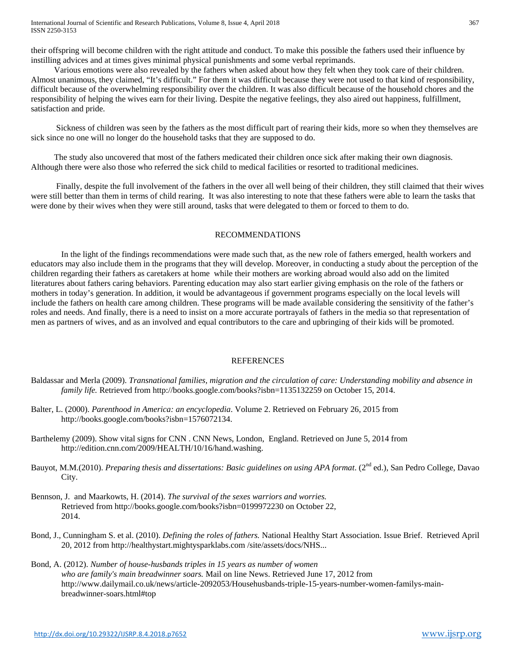their offspring will become children with the right attitude and conduct. To make this possible the fathers used their influence by instilling advices and at times gives minimal physical punishments and some verbal reprimands.

 Various emotions were also revealed by the fathers when asked about how they felt when they took care of their children. Almost unanimous, they claimed, "It's difficult." For them it was difficult because they were not used to that kind of responsibility, difficult because of the overwhelming responsibility over the children. It was also difficult because of the household chores and the responsibility of helping the wives earn for their living. Despite the negative feelings, they also aired out happiness, fulfillment, satisfaction and pride.

 Sickness of children was seen by the fathers as the most difficult part of rearing their kids, more so when they themselves are sick since no one will no longer do the household tasks that they are supposed to do.

 The study also uncovered that most of the fathers medicated their children once sick after making their own diagnosis. Although there were also those who referred the sick child to medical facilities or resorted to traditional medicines.

 Finally, despite the full involvement of the fathers in the over all well being of their children, they still claimed that their wives were still better than them in terms of child rearing. It was also interesting to note that these fathers were able to learn the tasks that were done by their wives when they were still around, tasks that were delegated to them or forced to them to do.

# RECOMMENDATIONS

In the light of the findings recommendations were made such that, as the new role of fathers emerged, health workers and educators may also include them in the programs that they will develop. Moreover, in conducting a study about the perception of the children regarding their fathers as caretakers at home while their mothers are working abroad would also add on the limited literatures about fathers caring behaviors. Parenting education may also start earlier giving emphasis on the role of the fathers or mothers in today's generation. In addition, it would be advantageous if government programs especially on the local levels will include the fathers on health care among children. These programs will be made available considering the sensitivity of the father's roles and needs. And finally, there is a need to insist on a more accurate portrayals of fathers in the media so that representation of men as partners of wives, and as an involved and equal contributors to the care and upbringing of their kids will be promoted.

# **REFERENCES**

- Baldassar and Merla (2009). *Transnational families, migration and the circulation of care: Understanding mobility and absence in family life.* Retrieved from<http://books.google.com/books?isbn=1135132259> on October 15, 2014.
- Balter, L. (2000). *Parenthood in America: an encyclopedia*. Volume 2. Retrieved on February 26, 2015 from http://books.google.com/books?isbn=1576072134.
- Barthelemy (2009). Show vital signs for CNN . CNN News, London, England. Retrieved on June 5, 2014 from http://edition.cnn.com/2009/HEALTH/10/16/hand.washing.
- Bauyot, M.M.(2010). *Preparing thesis and dissertations: Basic guidelines on using APA format*. (2<sup>nd</sup> ed.), San Pedro College, Davao City.
- Bennson, J. and Maarkowts, H. (2014). *The survival of the sexes warriors and worries.* Retrieved from<http://books.google.com/books?isbn=0199972230> on October 22, 2014.
- Bond, J., Cunningham S. et al. (2010). *Defining the roles of fathers.* National Healthy Start Association. Issue Brief. Retrieved April 20, 2012 from [http://healthystart.mightysparklabs.com](http://healthystart.mightysparklabs.com/) /site/assets/docs/NHS...
- Bond, A. (2012). *Number of house-husbands triples in 15 years as number of women who are family's main breadwinner soars.* Mail on line News. Retrieved June 17, 2012 from [http://www.dailymail.co.uk/news/article-2092053/Househusbands-triple-15-years-number-women-familys-main](http://www.dailymail.co.uk/news/article-2092053/Househusbands-triple-15-years-number-women-familys-main-breadwinner-soars.html#top)[breadwinner-soars.html#top](http://www.dailymail.co.uk/news/article-2092053/Househusbands-triple-15-years-number-women-familys-main-breadwinner-soars.html#top)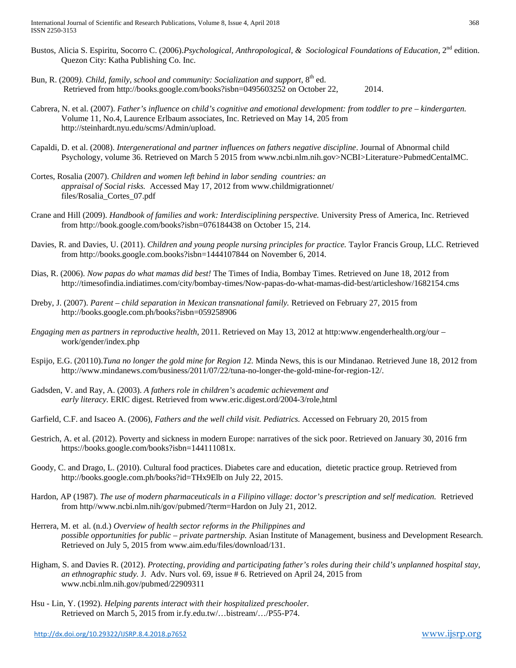- Bustos, Alicia S. Espiritu, Socorro C. (2006).*Psychological, Anthropological, & Sociological Foundations of Education*, 2nd edition. Quezon City: Katha Publishing Co. Inc.
- Bun, R. (2009). Child, family, school and community: Socialization and support, 8<sup>th</sup> ed. Retrieved fro[m http://books.google.com/books?isbn=0495603252](http://books.google.com/books?isbn=0495603252) on October 22, 2014.
- Cabrera, N. et al. (2007). *Father's influence on child's cognitive and emotional development: from toddler to pre – kindergarten.* Volume 11, No.4, Laurence Erlbaum associates, Inc. Retrieved on May 14, 205 from http://steinhardt.nyu.edu/scms/Admin/upload.
- Capaldi, D. et al. (2008). *Intergenerational and partner influences on fathers negative discipline*. Journal of Abnormal child Psychology, volume 36. Retrieved on March 5 2015 from www.ncbi.nlm.nih.gov>NCBI>Literature>PubmedCentalMC.
- Cortes, Rosalia (2007). *Children and women left behind in labor sending countries: an appraisal of Social risks.* Accessed May 17, 2012 from [www.childmigrationnet/](http://www.childmigrationnet/) files/Rosalia\_Cortes\_07.pdf
- Crane and Hill (2009). *Handbook of families and work: Interdisciplining perspective.* University Press of America, Inc. Retrieved from http://book.google.com/books?isbn=076184438 on October 15, 214.
- Davies, R. and Davies, U. (2011). *Children and young people nursing principles for practice.* Taylor Francis Group, LLC. Retrieved fro[m http://books.google.com.books?isbn=1444107844](http://books.google.com.books/?isbn=1444107844) on November 6, 2014.
- Dias, R. (2006). *Now papas do what mamas did best!* The Times of India, Bombay Times. Retrieved on June 18, 2012 from http://timesofindia.indiatimes.com/city/bombay-times/Now-papas-do-what-mamas-did-best/articleshow/1682154.cms
- Dreby, J. (2007). *Parent – child separation in Mexican transnational family.* Retrieved on February 27, 2015 from http://books.google.com.ph/books?isbn=059258906
- *Engaging men as partners in reproductive health*, 2011. Retrieved on May 13, 2012 at http:www.engenderhealth.org/our work/gender/index.php
- Espijo, E.G. (20110).*Tuna no longer the gold mine for Region 12.* Minda News, this is our Mindanao. Retrieved June 18, 2012 from [http://www.mindanews.com/business/2011/07/22/tuna-no-longer-the-gold-mine-for-region-12/.](http://www.mindanews.com/business/2011/07/22/tuna-no-longer-the-gold-mine-for-region-12/)
- Gadsden, V. and Ray, A. (2003). *A fathers role in children's academic achievement and early literacy.* ERIC digest. Retrieved from [www.eric.digest.ord/2004-3/role,html](http://www.eric.digest.ord/2004-3/role,html)
- Garfield, C.F. and Isaceo A. (2006), *Fathers and the well child visit. Pediatrics.* Accessed on February 20, 2015 from
- Gestrich, A. et al. (2012). Poverty and sickness in modern Europe: narratives of the sick poor. Retrieved on January 30, 2016 frm https://books.google.com/books?isbn=144111081x.
- Goody, C. and Drago, L. (2010). Cultural food practices. Diabetes care and education, dietetic practice group. Retrieved from http://books.google.com.ph/books?id=THx9Elb on July 22, 2015.
- Hardon, AP (1987). *The use of modern pharmaceuticals in a Filipino village: doctor's prescription and self medication.* Retrieved from http//www.ncbi.nlm.nih/gov/pubmed/?term=Hardon on July 21, 2012.
- Herrera, M. et al. (n.d.) *Overview of health sector reforms in the Philippines and possible opportunities for public – private partnership.* Asian Institute of Management, business and Development Research. Retrieved on July 5, 2015 from www.aim.edu/files/download/131.
- Higham, S. and Davies R. (2012). *Protecting, providing and participating father's roles during their child's unplanned hospital stay, an ethnographic study.* J. Adv. Nurs vol. 69, issue # 6. Retrieved on April 24, 2015 from www.ncbi.nlm.nih.gov/pubmed/22909311
- Hsu Lin, Y. (1992). *Helping parents interact with their hospitalized preschooler.* Retrieved on March 5, 2015 from ir.fy.edu.tw/…bistream/…/P55-P74.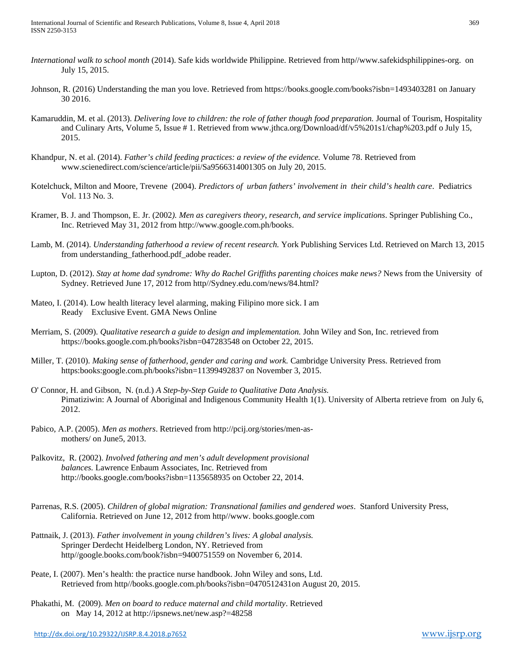- *International walk to school month* (2014). Safe kids worldwide Philippine. Retrieved from http//www.safekidsphilippines-org. on July 15, 2015.
- Johnson, R. (2016) Understanding the man you love. Retrieved from https://books.google.com/books?isbn=1493403281 on January 30 2016.
- Kamaruddin, M. et al. (2013). *Delivering love to children: the role of father though food preparation.* Journal of Tourism, Hospitality and Culinary Arts, Volume 5, Issue # 1. Retrieved from www.jthca.org/Download/df/v5%201s1/chap%203.pdf o July 15, 2015.
- Khandpur, N. et al. (2014). *Father's child feeding practices: a review of the evidence.* Volume 78. Retrieved from www.scienedirect.com/science/article/pii/Sa9566314001305 on July 20, 2015.
- Kotelchuck, Milton and Moore, Trevene (2004). *Predictors of urban fathers' involvement in their child's health care*. Pediatrics Vol. 113 No. 3.
- Kramer, B. J. and Thompson, E. Jr. (2002*). Men as caregivers theory, research, and service implications*. Springer Publishing Co., Inc. Retrieved May 31, 2012 from [http://www.google.com.ph/books.](http://www.google.com.ph/books)
- Lamb, M. (2014). *Understanding fatherhood a review of recent research.* York Publishing Services Ltd. Retrieved on March 13, 2015 from understanding fatherhood.pdf adobe reader.
- Lupton, D. (2012). *Stay at home dad syndrome: Why do Rachel Griffiths parenting choices make news?* News from the University of Sydney. Retrieved June 17, 2012 from http//Sydney.edu.com/news/84.html?
- Mateo, I. (2014). Low health literacy level alarming, making Filipino more sick. I am Ready Exclusive Event. GMA News Online
- Merriam, S. (2009). *Qualitative research a guide to design and implementation.* John Wiley and Son, Inc. retrieved from https://books.google.com.ph/books?isbn=047283548 on October 22, 2015.
- Miller, T. (2010). *Making sense of fatherhood, gender and caring and work.* Cambridge University Press. Retrieved from https:books:google.com.ph/books?isbn=11399492837 on November 3, 2015.
- O' Connor, H. and Gibson, N. (n.d.) *A Step-by-Step Guide to Qualitative Data Analysis.*  Pimatiziwin: A Journal of Aboriginal and Indigenous Community Health 1(1). University of Alberta retrieve from on July 6, 2012.
- Pabico, A.P. (2005). *Men as mothers*. Retrieved from [http://pcij.org/stories/men-as](http://pcij.org/stories/men-as-)mothers/ on June5, 2013.
- Palkovitz, R. (2002). *Involved fathering and men's adult development provisional balances.* Lawrence Enbaum Associates, Inc. Retrieved from <http://books.google.com/books?isbn=1135658935> on October 22, 2014.
- Parrenas, R.S. (2005). *Children of global migration: Transnational families and gendered woes*. Stanford University Press, California. Retrieved on June 12, 2012 from http//www. books.google.com
- Pattnaik, J. (2013). *Father involvement in young children's lives: A global analysis.*  Springer Derdecht Heidelberg London, NY. Retrieved from http//google.books.com/book?isbn=9400751559 on November 6, 2014.
- Peate, I. (2007). Men's health: the practice nurse handbook. John Wiley and sons, Ltd. Retrieved from http//books.google.com.ph/books?isbn=0470512431on August 20, 2015.
- Phakathi, M. (2009). *Men on board to reduce maternal and child mortality*. Retrieved on May 14, 2012 at<http://ipsnews.net/new.asp?=48258>